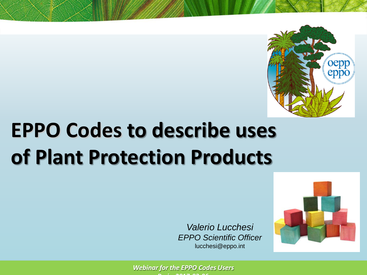

## **EPPO Codes to describe uses of Plant Protection Products**

*Valerio Lucchesi EPPO Scientific Officer*  lucchesi@eppo.int



*Webinar for the EPPO Codes Users* **P i 2017 03 06**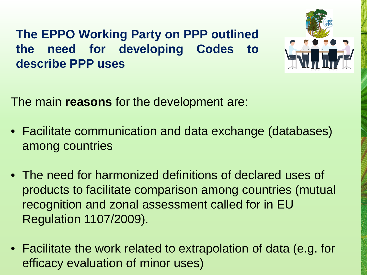**The EPPO Working Party on PPP outlined the need for developing Codes to describe PPP uses**



The main **reasons** for the development are:

- Facilitate communication and data exchange (databases) among countries
- The need for harmonized definitions of declared uses of products to facilitate comparison among countries (mutual recognition and zonal assessment called for in EU Regulation 1107/2009).
- Facilitate the work related to extrapolation of data (e.g. for efficacy evaluation of minor uses)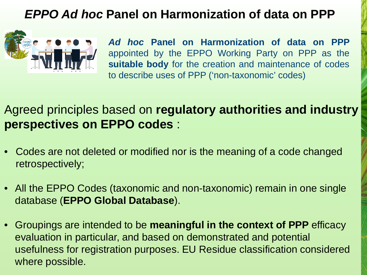#### *EPPO Ad hoc* **Panel on Harmonization of data on PPP**



*Ad hoc* **Panel on Harmonization of data on PPP** appointed by the EPPO Working Party on PPP as the **suitable body** for the creation and maintenance of codes to describe uses of PPP ('non-taxonomic' codes)

Agreed principles based on **regulatory authorities and industry perspectives on EPPO codes** :

- Codes are not deleted or modified nor is the meaning of a code changed retrospectively;
- All the EPPO Codes (taxonomic and non-taxonomic) remain in one single database (**EPPO Global Database**).
- Groupings are intended to be **meaningful in the context of PPP** efficacy evaluation in particular, and based on demonstrated and potential usefulness for registration purposes. EU Residue classification considered where possible.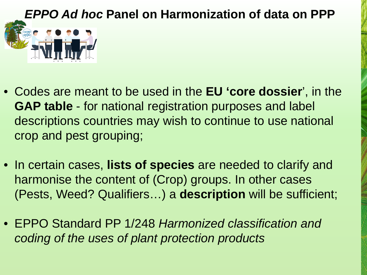# *EPPO Ad hoc* **Panel on Harmonization of data on PPP**

- Codes are meant to be used in the **EU 'core dossier**', in the **GAP table** - for national registration purposes and label descriptions countries may wish to continue to use national crop and pest grouping;
- In certain cases, **lists of species** are needed to clarify and harmonise the content of (Crop) groups. In other cases (Pests, Weed? Qualifiers…) a **description** will be sufficient;
- EPPO Standard PP 1/248 *Harmonized classification and coding of the uses of plant protection products*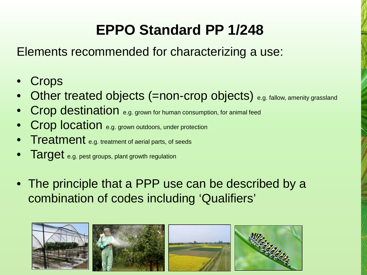#### **EPPO Standard PP 1/248**

Elements recommended for characterizing a use:

- **Crops**
- Other treated objects (=non-crop objects) e.g. fallow, amenity grassland
- Crop destination e.g. grown for human consumption, for animal feed
- Crop location e.g. grown outdoors, under protection
- **Treatment** e.g. treatment of aerial parts, of seeds
- Target e.g. pest groups, plant growth regulation
- The principle that a PPP use can be described by a combination of codes including 'Qualifiers'

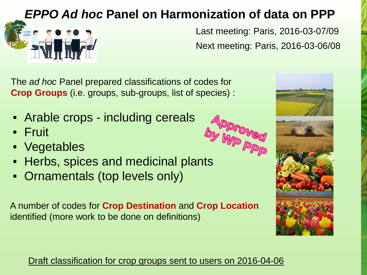#### *EPPO Ad hoc* **Panel on Harmonization of data on PPP**



Last meeting: Paris, 2016-03-07/09 Next meeting: Paris, 2016-03-06/08

The *ad hoc* Panel prepared classifications of codes for **Crop Groups** (i.e. groups, sub-groups, list of species) :

- Arable crops including cereals
- Fruit
- Vegetables
- Hiable Store<br>• Fruit<br>• Herbs, spices and medicinal plants
- Ornamentals (top levels only)

A number of codes for **Crop Destination** and **Crop Location**  identified (more work to be done on definitions)

Draft classification for crop groups sent to users on 2016-04-06

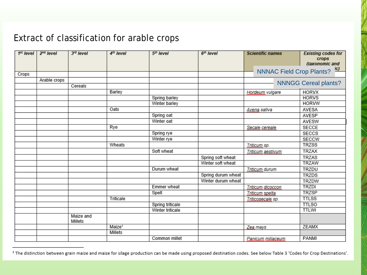#### Extract of classification for arable crops

| 1 <sup>st</sup> level | $2nd$ level  | 3rd level            | 4 <sup>th</sup> level | 5th level        | $6m$ level         | <b>Scientific names</b>         | <b>Existing codes for</b><br>crops<br>(taxonomic and |
|-----------------------|--------------|----------------------|-----------------------|------------------|--------------------|---------------------------------|------------------------------------------------------|
|                       |              |                      |                       |                  |                    |                                 | <u>ic)</u>                                           |
| Crops                 |              |                      |                       |                  |                    | <b>NNNAC Field Crop Plants?</b> |                                                      |
|                       | Arable crops |                      |                       |                  |                    | <b>NNNGG Cereal plants?</b>     |                                                      |
|                       |              | Cereals              |                       |                  |                    |                                 |                                                      |
|                       |              |                      | Barley                |                  |                    | Hordeum vulgare                 | <b>HORVX</b>                                         |
|                       |              |                      |                       | Spring barley    |                    |                                 | <b>HORVS</b>                                         |
|                       |              |                      |                       | Winter barley    |                    |                                 | <b>HORVW</b>                                         |
|                       |              |                      | Oats                  |                  |                    | Avena sativa                    | AVESA                                                |
|                       |              |                      |                       | Spring oat       |                    |                                 | AVESP                                                |
|                       |              |                      |                       | Winter oat       |                    |                                 | AVESW                                                |
|                       |              |                      | Rye                   |                  |                    | Secale cereale.                 | SECCE                                                |
|                       |              |                      |                       | Spring rye       |                    |                                 | SECCS                                                |
|                       |              |                      |                       | Winter rye       |                    |                                 | <b>SECCW</b>                                         |
|                       |              |                      | Wheats                |                  |                    | Triticum sp.                    | <b>TRZSS</b>                                         |
|                       |              |                      |                       | Soft wheat       |                    | Triticum aestivum               | TRZAX                                                |
|                       |              |                      |                       |                  | Spring soft wheat  |                                 | <b>TRZAS</b>                                         |
|                       |              |                      |                       |                  | Winter soft wheat  |                                 | <b>TRZAW</b>                                         |
|                       |              |                      |                       | Durum wheat      |                    | Triticum durum                  | TRZDU                                                |
|                       |              |                      |                       |                  | Spring durum wheat |                                 | <b>TRZDS</b>                                         |
|                       |              |                      |                       |                  | Winter durum wheat |                                 | TRZDW                                                |
|                       |              |                      |                       | Emmer wheat      |                    | Triticum dicoccon               | <b>TRZDI</b>                                         |
|                       |              |                      |                       | Spelt            |                    | Iriticum spelta                 | <b>TRZSP</b>                                         |
|                       |              |                      | Triticale             |                  |                    | Triticosecale sp.               | <b>TTLSS</b>                                         |
|                       |              |                      |                       | Spring triticale |                    |                                 | <b>TTLSO</b>                                         |
|                       |              |                      |                       | Winter triticale |                    |                                 | <b>TTLWI</b>                                         |
|                       |              | Maize and<br>Millets |                       |                  |                    |                                 |                                                      |
|                       |              |                      | Maize <sup>1</sup>    |                  |                    | Zea mays                        | <b>ZEAMX</b>                                         |
|                       |              |                      | Millets               |                  |                    |                                 |                                                      |
|                       |              |                      |                       | Common millet    |                    | Panicum miliaceum               | PANMI                                                |

<sup>&</sup>lt;sup>1</sup> The distinction between grain maize and maize for silage production can be made using proposed destination codes. See below Table 3 'Codes for Crop Destinations'.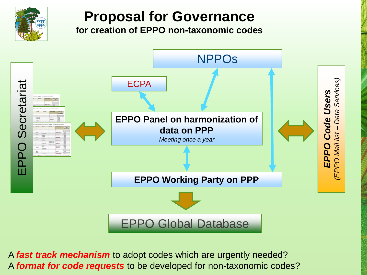

### **Proposal for Governance**

**for creation of EPPO non-taxonomic codes** 



A *fast track mechanism* to adopt codes which are urgently needed? A *format for code requests* to be developed for non-taxonomic codes?